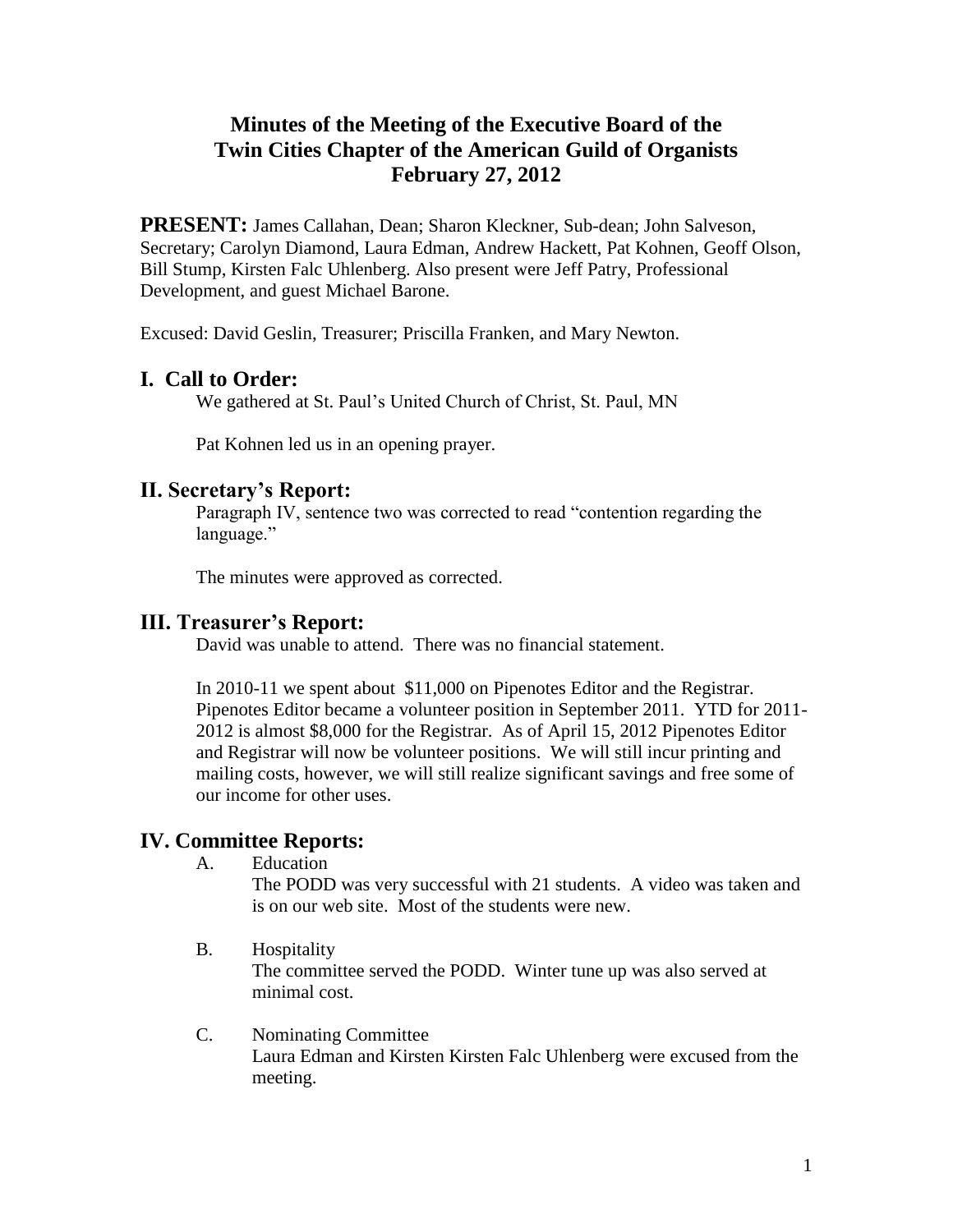# **Minutes of the Meeting of the Executive Board of the Twin Cities Chapter of the American Guild of Organists February 27, 2012**

**PRESENT:** James Callahan, Dean; Sharon Kleckner, Sub-dean; John Salveson, Secretary; Carolyn Diamond, Laura Edman, Andrew Hackett, Pat Kohnen, Geoff Olson, Bill Stump, Kirsten Falc Uhlenberg. Also present were Jeff Patry, Professional Development, and guest Michael Barone.

Excused: David Geslin, Treasurer; Priscilla Franken, and Mary Newton.

## **I. Call to Order:**

We gathered at St. Paul's United Church of Christ, St. Paul, MN

Pat Kohnen led us in an opening prayer.

### **II. Secretary's Report:**

Paragraph IV, sentence two was corrected to read "contention regarding the language."

The minutes were approved as corrected.

### **III. Treasurer's Report:**

David was unable to attend. There was no financial statement.

In 2010-11 we spent about \$11,000 on Pipenotes Editor and the Registrar. Pipenotes Editor became a volunteer position in September 2011. YTD for 2011- 2012 is almost \$8,000 for the Registrar. As of April 15, 2012 Pipenotes Editor and Registrar will now be volunteer positions. We will still incur printing and mailing costs, however, we will still realize significant savings and free some of our income for other uses.

## **IV. Committee Reports:**

A. Education

The PODD was very successful with 21 students. A video was taken and is on our web site. Most of the students were new.

- B. Hospitality The committee served the PODD. Winter tune up was also served at minimal cost.
- C. Nominating Committee Laura Edman and Kirsten Kirsten Falc Uhlenberg were excused from the meeting.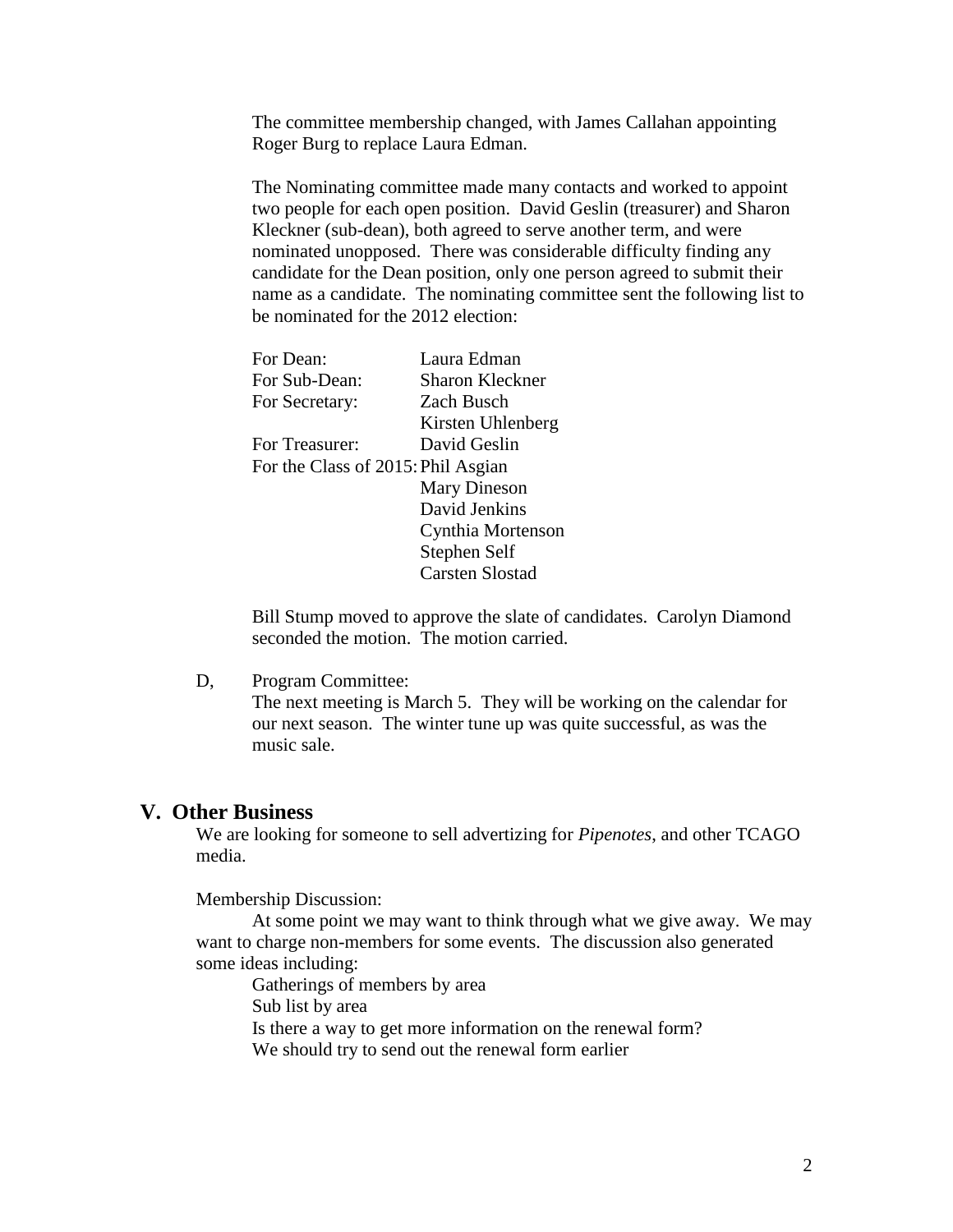The committee membership changed, with James Callahan appointing Roger Burg to replace Laura Edman.

The Nominating committee made many contacts and worked to appoint two people for each open position. David Geslin (treasurer) and Sharon Kleckner (sub-dean), both agreed to serve another term, and were nominated unopposed. There was considerable difficulty finding any candidate for the Dean position, only one person agreed to submit their name as a candidate. The nominating committee sent the following list to be nominated for the 2012 election:

| For Dean:                          | Laura Edman            |
|------------------------------------|------------------------|
| For Sub-Dean:                      | <b>Sharon Kleckner</b> |
| For Secretary:                     | Zach Busch             |
|                                    | Kirsten Uhlenberg      |
| For Treasurer:                     | David Geslin           |
| For the Class of 2015: Phil Asgian |                        |
|                                    | <b>Mary Dineson</b>    |
|                                    | David Jenkins          |
|                                    | Cynthia Mortenson      |
|                                    | Stephen Self           |
|                                    | Carsten Slostad        |
|                                    |                        |

Bill Stump moved to approve the slate of candidates. Carolyn Diamond seconded the motion. The motion carried.

D, Program Committee:

The next meeting is March 5. They will be working on the calendar for our next season. The winter tune up was quite successful, as was the music sale.

#### **V. Other Business**

We are looking for someone to sell advertizing for *Pipenotes*, and other TCAGO media.

Membership Discussion:

At some point we may want to think through what we give away. We may want to charge non-members for some events. The discussion also generated some ideas including:

Gatherings of members by area Sub list by area Is there a way to get more information on the renewal form? We should try to send out the renewal form earlier